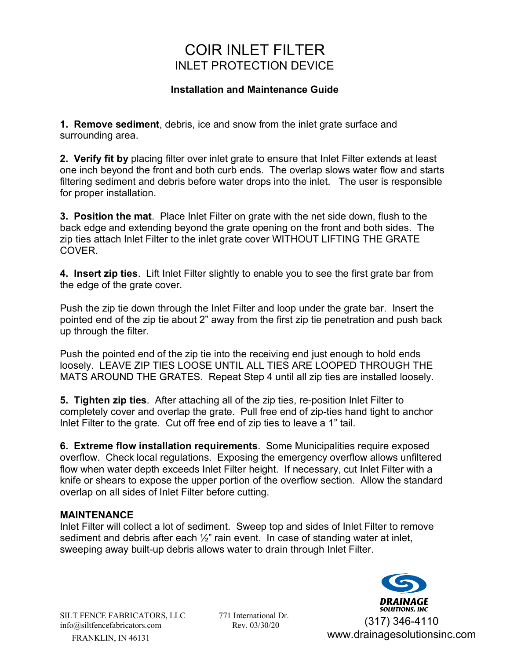## COIR INLET FILTER INLET PROTECTION DEVICE

## **Installation and Maintenance Guide**

**1. Remove sediment**, debris, ice and snow from the inlet grate surface and surrounding area.

**2. Verify fit by** placing filter over inlet grate to ensure that Inlet Filter extends at least one inch beyond the front and both curb ends. The overlap slows water flow and starts filtering sediment and debris before water drops into the inlet. The user is responsible for proper installation.

**3. Position the mat**. Place Inlet Filter on grate with the net side down, flush to the back edge and extending beyond the grate opening on the front and both sides. The zip ties attach Inlet Filter to the inlet grate cover WITHOUT LIFTING THE GRATE **COVER** 

**4. Insert zip ties**. Lift Inlet Filter slightly to enable you to see the first grate bar from the edge of the grate cover.

Push the zip tie down through the Inlet Filter and loop under the grate bar. Insert the pointed end of the zip tie about 2" away from the first zip tie penetration and push back up through the filter.

Push the pointed end of the zip tie into the receiving end just enough to hold ends loosely. LEAVE ZIP TIES LOOSE UNTIL ALL TIES ARE LOOPED THROUGH THE MATS AROUND THE GRATES. Repeat Step 4 until all zip ties are installed loosely.

**5. Tighten zip ties**. After attaching all of the zip ties, re-position Inlet Filter to completely cover and overlap the grate. Pull free end of zip-ties hand tight to anchor Inlet Filter to the grate. Cut off free end of zip ties to leave a 1" tail.

**6. Extreme flow installation requirements**. Some Municipalities require exposed overflow. Check local regulations. Exposing the emergency overflow allows unfiltered flow when water depth exceeds Inlet Filter height. If necessary, cut Inlet Filter with a knife or shears to expose the upper portion of the overflow section. Allow the standard overlap on all sides of Inlet Filter before cutting.

### **MAINTENANCE**

Inlet Filter will collect a lot of sediment. Sweep top and sides of Inlet Filter to remove sediment and debris after each  $\frac{1}{2}$ " rain event. In case of standing water at inlet, sweeping away built-up debris allows water to drain through Inlet Filter.



SILT FENCE FABRICATORS, LLC 771 International Dr. FRANKLIN, IN 46131 info@siltfencefabricators.com Rev. 03/30/20

(317) 346-4110 www.drainagesolutionsinc.com